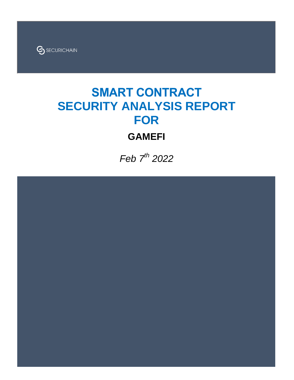

# **SMART CONTRACT SECURITY ANALYSIS REPORT FOR**

## **GAMEFI**

Feb 7<sup>th</sup> 2022

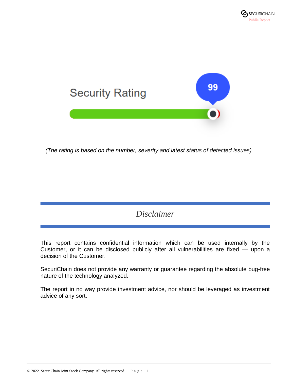

*(The rating is based on the number, severity and latest status of detected issues)*

## *Disclaimer*

This report contains confidential information which can be used internally by the Customer, or it can be disclosed publicly after all vulnerabilities are fixed — upon a decision of the Customer.

SecuriChain does not provide any warranty or guarantee regarding the absolute bug-free nature of the technology analyzed.

The report in no way provide investment advice, nor should be leveraged as investment advice of any sort.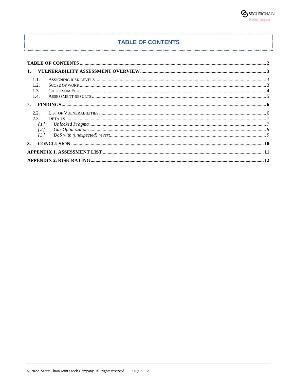#### **TABLE OF CONTENTS**

| 1.1.<br>1.2.<br>1.3.<br>1.4.                                         |  |  |
|----------------------------------------------------------------------|--|--|
|                                                                      |  |  |
| 2.2.<br>2.3.<br>$\overline{11}$<br>$\sqrt{2}l$<br>$\left[ 3 \right]$ |  |  |
|                                                                      |  |  |
|                                                                      |  |  |
|                                                                      |  |  |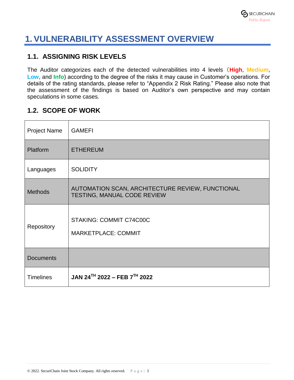

## **1. VULNERABILITY ASSESSMENT OVERVIEW**

### **1.1. ASSIGNING RISK LEVELS**

The Auditor categorizes each of the detected vulnerabilities into 4 levels(**High**, **Medium**, **Low**, and **Info**) according to the degree of the risks it may cause in Customer's operations. For details of the rating standards, please refer to "Appendix 2 Risk Rating." Please also note that the assessment of the findings is based on Auditor's own perspective and may contain speculations in some cases.

### **1.2. SCOPE OF WORK**

| <b>Project Name</b> | <b>GAMEFI</b>                                                                   |
|---------------------|---------------------------------------------------------------------------------|
| Platform            | <b>ETHEREUM</b>                                                                 |
| Languages           | <b>SOLIDITY</b>                                                                 |
| <b>Methods</b>      | AUTOMATION SCAN, ARCHITECTURE REVIEW, FUNCTIONAL<br>TESTING, MANUAL CODE REVIEW |
| Repository          | STAKING: COMMIT C74C00C<br><b>MARKETPLACE: COMMIT</b>                           |
| <b>Documents</b>    |                                                                                 |
| <b>Timelines</b>    | JAN 24TH 2022 - FEB 7TH 2022                                                    |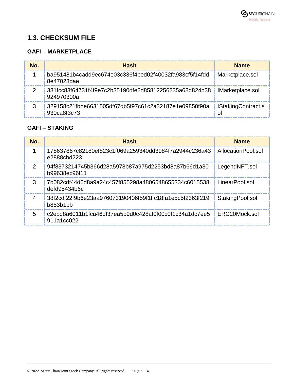## **1.3. CHECKSUM FILE**

### **GAFI – MARKETPLACE**

| No. | <b>Hash</b>                                                          | <b>Name</b>                     |
|-----|----------------------------------------------------------------------|---------------------------------|
|     | ba951481b4cadd9ec674e03c336f4bed02f40032fa983cf5f14fdd<br>8e47023dae | Marketplace.sol                 |
|     | 381fcc83f64731f4f9e7c2b35190dfe2d85812256235a68d824b38<br>924970300a | IMarketplace.sol                |
|     | 329158c21fbbe6631505df67db5f97c61c2a32187e1e09850f90a<br>930ca8f3c73 | <b>IStakingContract.s</b><br>ΩI |

### **GAFI – STAKING**

| No.           | <b>Hash</b>                                                           | <b>Name</b>        |
|---------------|-----------------------------------------------------------------------|--------------------|
|               | 178637867c82180ef823c1f069a259340dd3984f7a2944c236a43<br>e2888cbd223  | AllocationPool.sol |
| $\mathcal{P}$ | .94f8373214745b366d28a5973b87a975d2253bd8a87b66d1a30<br>b99638ec96f11 | LegendNFT.sol      |
| 3             | 7b082cdf44d6d8a9a24c457f855298a4806548655334c6015538<br>defd95434b6c  | LinearPool.sol     |
| 4             | 38f2cdf22f9b6e23aa976073190406f59f1ffc18fa1e5c5f2363f219<br>b883b1bb  | StakingPool.sol    |
| 5             | c2ebd8a6011b1fca46df37ea5b9d0c428af0f00c0f1c34a1dc7ee5<br>911a1cc022  | ERC20Mock.sol      |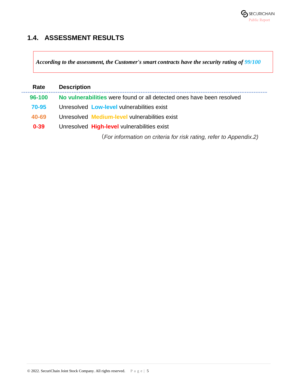

### **1.4. ASSESSMENT RESULTS**

*According to the assessment, the Customer's smart contracts have the security rating of 99/100* 

| Rate     | <b>Description</b>                                                    |  |
|----------|-----------------------------------------------------------------------|--|
| 96-100   | No vulnerabilities were found or all detected ones have been resolved |  |
| 70-95    | Unresolved Low-level vulnerabilities exist                            |  |
| 40-69    | Unresolved Medium-level vulnerabilities exist                         |  |
| $0 - 39$ | Unresolved High-level vulnerabilities exist                           |  |
|          | (For information on criteria for risk rating, refer to Appendix.2)    |  |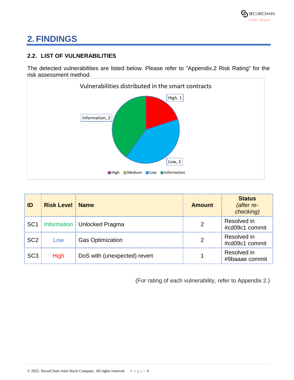## **2. FINDINGS**

### **2.2. LIST OF VULNERABILITIES**

The detected vulnerabilities are listed below. Please refer to "Appendix.2 Risk Rating" for the risk assessment method.



| ID              | <b>Risk Level   Name</b> |                                     | <b>Amount</b> | <b>Status</b><br>(after re-<br>checking) |
|-----------------|--------------------------|-------------------------------------|---------------|------------------------------------------|
|                 |                          | SC1   Information   Unlocked Pragma |               | Resolved in<br>#cd09c1 commit            |
| SC <sub>2</sub> | Low                      | <b>Gas Optimization</b>             |               | Resolved in<br>#cd09c1 commit            |
| SC <sub>3</sub> | <b>High</b>              | DoS with (unexpected) revert        |               | Resolved in<br>#9baaae commit            |

(For rating of each vulnerability, refer to Appendix 2.)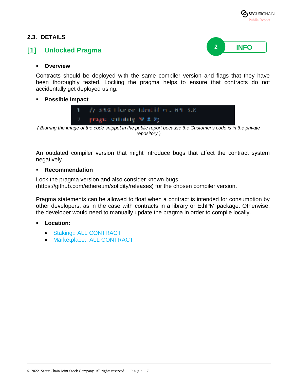

#### **2.3. DETAILS**

#### **[1] Unlocked Pragma**



#### **Overview**

Contracts should be deployed with the same compiler version and flags that they have been thoroughly tested. Locking the pragma helps to ensure that contracts do not accidentally get deployed using.

#### **Possible Impact**



*( Blurring the image of the code snippet in the public report because the Customer's code is in the private repository )*

An outdated compiler version that might introduce bugs that affect the contract system negatively.

#### **Recommendation**

Lock the pragma version and also consider known bugs (https://github.com/ethereum/solidity/releases) for the chosen compiler version.

Pragma statements can be allowed to float when a contract is intended for consumption by other developers, as in the case with contracts in a library or EthPM package. Otherwise, the developer would need to manually update the pragma in order to compile locally.

- **Location:**
	- Staking:: ALL CONTRACT
	- Marketplace:: ALL CONTRACT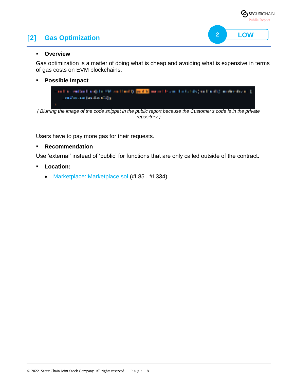## **[2] Gas Optimization**



**2 LOW**

#### **Overview**

Gas optimization is a matter of doing what is cheap and avoiding what is expensive in terms of gas costs on EVM blockchains.

**Possible Impact**



*( Blurring the image of the code snippet in the public report because the Customer's code is in the private repository )*

Users have to pay more gas for their requests.

#### **Recommendation**

Use 'external' instead of 'public' for functions that are only called outside of the contract.

- **Location:**
	- Marketplace::Marketplace.sol (#L85, #L334)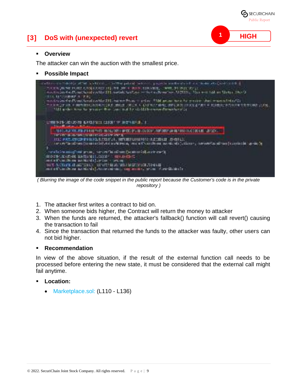

## **[3] DoS with (unexpected) revert**

#### **Overview**

The attacker can win the auction with the smallest price.

**Possible Impact**



*( Blurring the image of the code snippet in the public report because the Customer's code is in the private repository )*

- 1. The attacker first writes a contract to bid on.
- 2. When someone bids higher, the Contract will return the money to attacker
- 3. When the funds are returned, the attacker's fallback() function will call revert() causing the transaction to fail
- 4. Since the transaction that returned the funds to the attacker was faulty, other users can not bid higher.

#### **Recommendation**

In view of the above situation, if the result of the external function call needs to be processed before entering the new state, it must be considered that the external call might fail anytime.

#### **Location:**

• Marketplace.sol: (L110 - L136)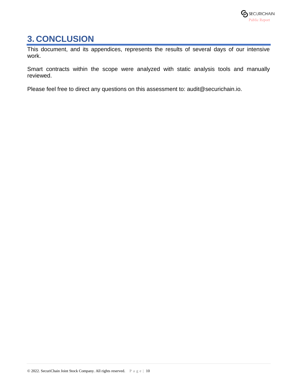## **3. CONCLUSION**

This document, and its appendices, represents the results of several days of our intensive work.

Smart contracts within the scope were analyzed with static analysis tools and manually reviewed.

Please feel free to direct any questions on this assessment to: audit@securichain.io.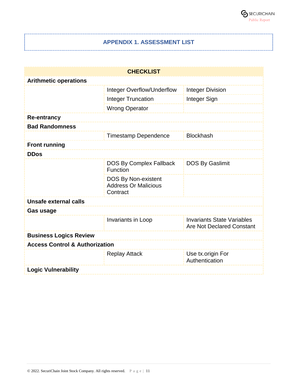

#### **APPENDIX 1. ASSESSMENT LIST**

------------------------------

| <b>CHECKLIST</b>                          |                                                                       |                                                                       |  |
|-------------------------------------------|-----------------------------------------------------------------------|-----------------------------------------------------------------------|--|
| <b>Arithmetic operations</b>              |                                                                       |                                                                       |  |
|                                           | Integer Overflow/Underflow                                            | <b>Integer Division</b>                                               |  |
|                                           | <b>Integer Truncation</b>                                             | Integer Sign                                                          |  |
|                                           | <b>Wrong Operator</b>                                                 |                                                                       |  |
| <b>Re-entrancy</b>                        |                                                                       |                                                                       |  |
| <b>Bad Randomness</b>                     |                                                                       |                                                                       |  |
|                                           | <b>Timestamp Dependence</b>                                           | <b>Blockhash</b>                                                      |  |
| <b>Front running</b>                      |                                                                       |                                                                       |  |
| <b>DDos</b>                               |                                                                       |                                                                       |  |
|                                           | <b>DOS By Complex Fallback</b><br>Function                            | DOS By Gaslimit                                                       |  |
|                                           | <b>DOS By Non-existent</b><br><b>Address Or Malicious</b><br>Contract |                                                                       |  |
| Unsafe external calls                     |                                                                       |                                                                       |  |
| <b>Gas usage</b>                          |                                                                       |                                                                       |  |
|                                           | Invariants in Loop                                                    | <b>Invariants State Variables</b><br><b>Are Not Declared Constant</b> |  |
| <b>Business Logics Review</b>             |                                                                       |                                                                       |  |
| <b>Access Control &amp; Authorization</b> |                                                                       |                                                                       |  |
|                                           | <b>Replay Attack</b>                                                  | Use tx.origin For<br>Authentication                                   |  |
| <b>Logic Vulnerability</b>                |                                                                       |                                                                       |  |